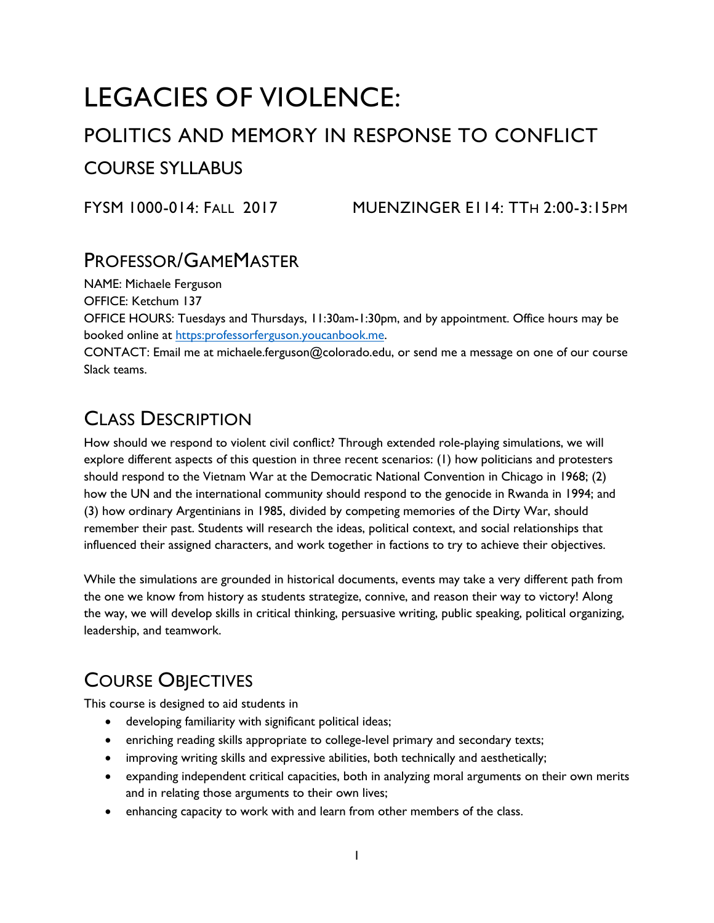# LEGACIES OF VIOLENCE:

# POLITICS AND MEMORY IN RESPONSE TO CONFLICT COURSE SYLLABUS

FYSM 1000-014: FALL 2017 MUENZINGER E114: TTH 2:00-3:15PM

# PROFESSOR/GAMEMASTER

NAME: Michaele Ferguson

OFFICE: Ketchum 137

OFFICE HOURS: Tuesdays and Thursdays, 11:30am-1:30pm, and by appointment. Office hours may be booked online at [https:professorferguson.youcanbook.me.](https://professorferguson.youcanbook.me/)

CONTACT: Email me at michaele.ferguson@colorado.edu, or send me a message on one of our course Slack teams.

# CLASS DESCRIPTION

How should we respond to violent civil conflict? Through extended role-playing simulations, we will explore different aspects of this question in three recent scenarios: (1) how politicians and protesters should respond to the Vietnam War at the Democratic National Convention in Chicago in 1968; (2) how the UN and the international community should respond to the genocide in Rwanda in 1994; and (3) how ordinary Argentinians in 1985, divided by competing memories of the Dirty War, should remember their past. Students will research the ideas, political context, and social relationships that influenced their assigned characters, and work together in factions to try to achieve their objectives.

While the simulations are grounded in historical documents, events may take a very different path from the one we know from history as students strategize, connive, and reason their way to victory! Along the way, we will develop skills in critical thinking, persuasive writing, public speaking, political organizing, leadership, and teamwork.

# COURSE OBJECTIVES

This course is designed to aid students in

- developing familiarity with significant political ideas;
- enriching reading skills appropriate to college-level primary and secondary texts;
- improving writing skills and expressive abilities, both technically and aesthetically;
- expanding independent critical capacities, both in analyzing moral arguments on their own merits and in relating those arguments to their own lives;
- enhancing capacity to work with and learn from other members of the class.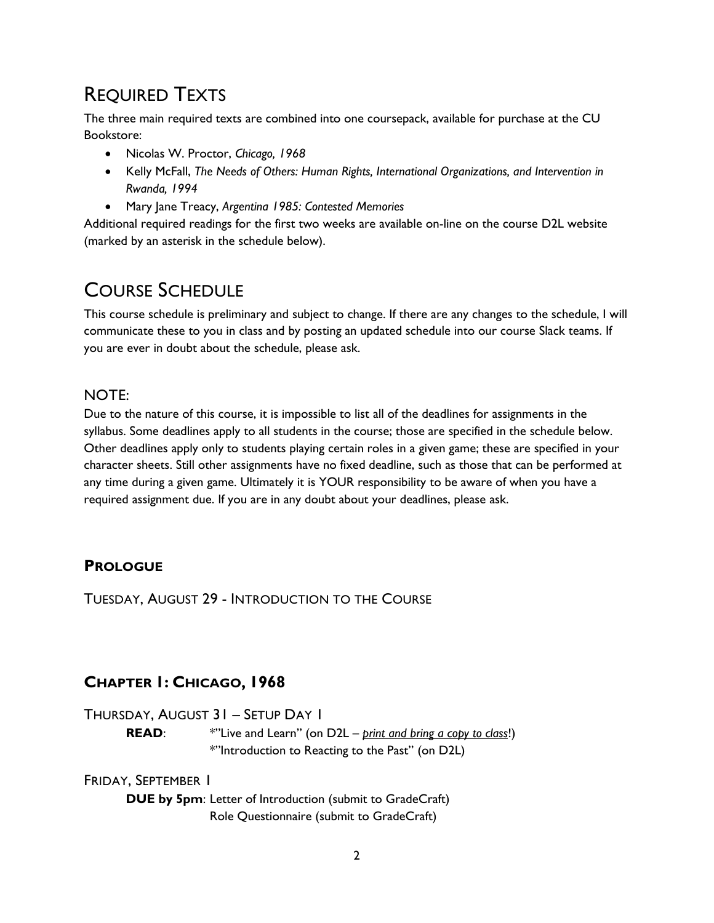# REQUIRED TEXTS

The three main required texts are combined into one coursepack, available for purchase at the CU Bookstore:

- Nicolas W. Proctor, *Chicago, 1968*
- Kelly McFall, *The Needs of Others: Human Rights, International Organizations, and Intervention in Rwanda, 1994*
- Mary Jane Treacy, *Argentina 1985: Contested Memories*

Additional required readings for the first two weeks are available on-line on the course D2L website (marked by an asterisk in the schedule below).

# COURSE SCHEDULE

This course schedule is preliminary and subject to change. If there are any changes to the schedule, I will communicate these to you in class and by posting an updated schedule into our course Slack teams. If you are ever in doubt about the schedule, please ask.

### NOTE:

Due to the nature of this course, it is impossible to list all of the deadlines for assignments in the syllabus. Some deadlines apply to all students in the course; those are specified in the schedule below. Other deadlines apply only to students playing certain roles in a given game; these are specified in your character sheets. Still other assignments have no fixed deadline, such as those that can be performed at any time during a given game. Ultimately it is YOUR responsibility to be aware of when you have a required assignment due. If you are in any doubt about your deadlines, please ask.

### **PROLOGUE**

TUESDAY, AUGUST 29 - INTRODUCTION TO THE COURSE

## **CHAPTER 1: CHICAGO, 1968**

THURSDAY, AUGUST 31 – SETUP DAY 1

**READ**: \*"Live and Learn" (on D2L – *print and bring a copy to class*!) \*"Introduction to Reacting to the Past" (on D2L)

### FRIDAY, SEPTEMBER 1

**DUE by 5pm**: Letter of Introduction (submit to GradeCraft) Role Questionnaire (submit to GradeCraft)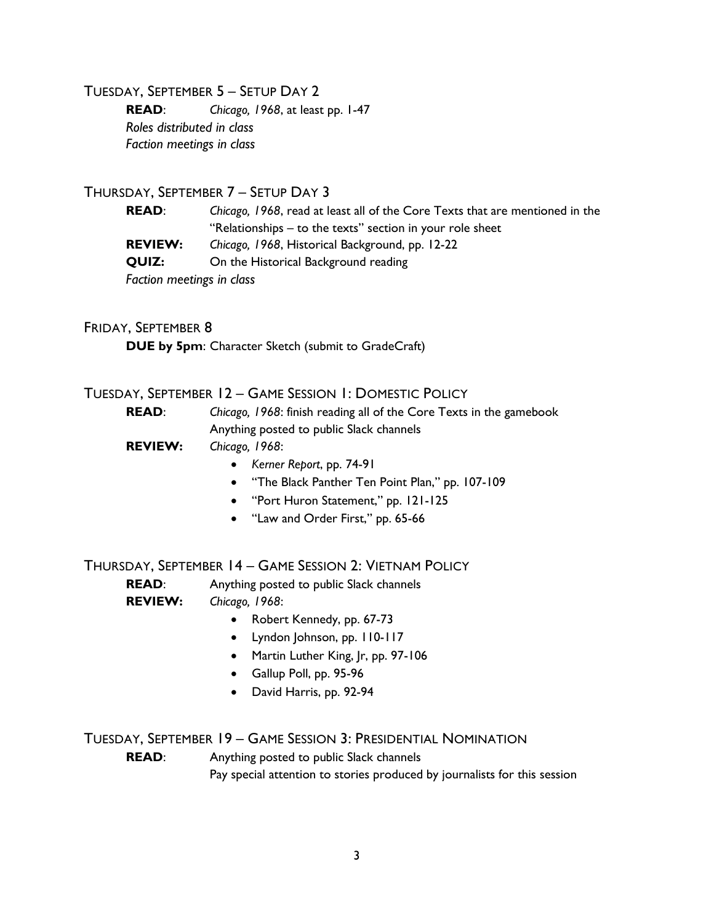#### TUESDAY, SEPTEMBER 5 – SETUP DAY 2

**READ**: *Chicago, 1968*, at least pp. 1-47 *Roles distributed in class Faction meetings in class*

#### THURSDAY, SEPTEMBER 7 – SETUP DAY 3

**READ**: *Chicago, 1968*, read at least all of the Core Texts that are mentioned in the "Relationships – to the texts" section in your role sheet **REVIEW:** *Chicago, 1968*, Historical Background, pp. 12-22

**QUIZ:** On the Historical Background reading

*Faction meetings in class*

#### FRIDAY, SEPTEMBER 8

**DUE by 5pm**: Character Sketch (submit to GradeCraft)

#### TUESDAY, SEPTEMBER 12 – GAME SESSION 1: DOMESTIC POLICY

| <b>READ:</b>   | Chicago, 1968: finish reading all of the Core Texts in the gamebook |
|----------------|---------------------------------------------------------------------|
|                | Anything posted to public Slack channels                            |
| <b>REVIEW:</b> | Chicago. 1968:                                                      |
|                |                                                                     |

- *Kerner Report*, pp. 74-91
- "The Black Panther Ten Point Plan," pp. 107-109
- "Port Huron Statement," pp. 121-125
- "Law and Order First," pp. 65-66

#### THURSDAY, SEPTEMBER 14 – GAME SESSION 2: VIETNAM POLICY

**READ:** Anything posted to public Slack channels **REVIEW:** *Chicago, 1968*:

- Robert Kennedy, pp. 67-73
- Lyndon Johnson, pp. 110-117
- Martin Luther King, Jr, pp. 97-106
- Gallup Poll, pp. 95-96
- David Harris, pp. 92-94

#### TUESDAY, SEPTEMBER 19 – GAME SESSION 3: PRESIDENTIAL NOMINATION

**READ**: Anything posted to public Slack channels

Pay special attention to stories produced by journalists for this session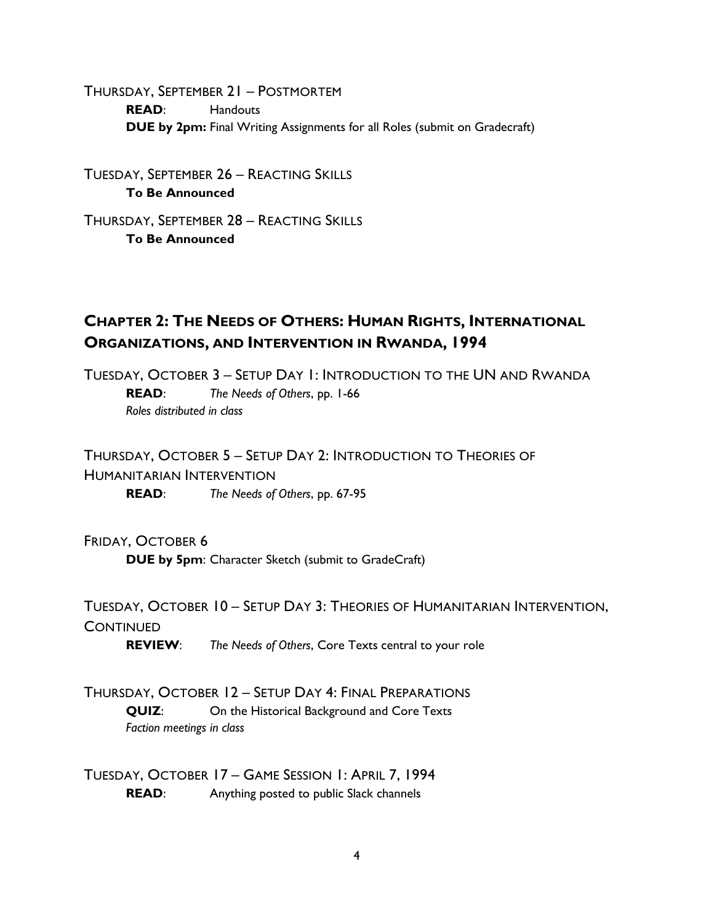THURSDAY, SEPTEMBER 21 – POSTMORTEM **READ**: Handouts **DUE by 2pm:** Final Writing Assignments for all Roles (submit on Gradecraft)

TUESDAY, SEPTEMBER 26 – REACTING SKILLS **To Be Announced**

THURSDAY, SEPTEMBER 28 – REACTING SKILLS **To Be Announced**

### **CHAPTER 2: THE NEEDS OF OTHERS: HUMAN RIGHTS, INTERNATIONAL ORGANIZATIONS, AND INTERVENTION IN RWANDA, 1994**

TUESDAY, OCTOBER 3 – SETUP DAY 1: INTRODUCTION TO THE UN AND RWANDA **READ**: *The Needs of Others*, pp. 1-66 *Roles distributed in class*

THURSDAY, OCTOBER 5 – SETUP DAY 2: INTRODUCTION TO THEORIES OF HUMANITARIAN INTERVENTION

**READ**: *The Needs of Others*, pp. 67-95

#### FRIDAY, OCTOBER 6

**DUE by 5pm**: Character Sketch (submit to GradeCraft)

TUESDAY, OCTOBER 10 – SETUP DAY 3: THEORIES OF HUMANITARIAN INTERVENTION, **CONTINUED** 

**REVIEW**: *The Needs of Others*, Core Texts central to your role

THURSDAY, OCTOBER 12 – SETUP DAY 4: FINAL PREPARATIONS **QUIZ:** On the Historical Background and Core Texts *Faction meetings in class*

TUESDAY, OCTOBER 17 – GAME SESSION 1: APRIL 7, 1994 **READ:** Anything posted to public Slack channels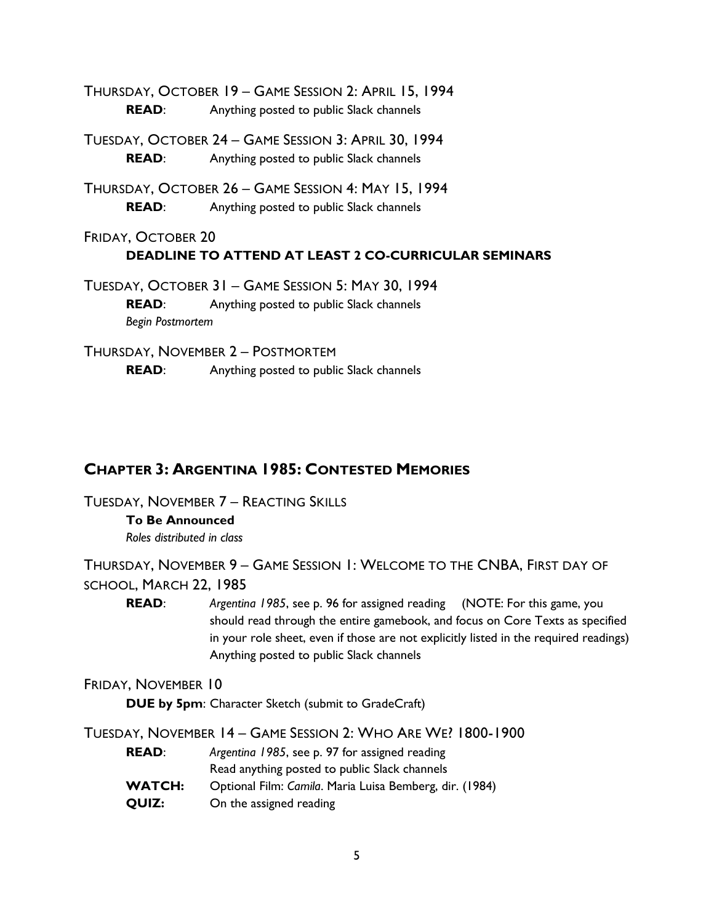THURSDAY, OCTOBER 19 – GAME SESSION 2: APRIL 15, 1994 **READ:** Anything posted to public Slack channels

TUESDAY, OCTOBER 24 – GAME SESSION 3: APRIL 30, 1994 **READ:** Anything posted to public Slack channels

THURSDAY, OCTOBER 26 – GAME SESSION 4: MAY 15, 1994 **READ:** Anything posted to public Slack channels

FRIDAY, OCTOBER 20 **DEADLINE TO ATTEND AT LEAST 2 CO-CURRICULAR SEMINARS**

TUESDAY, OCTOBER 31 – GAME SESSION 5: MAY 30, 1994 **READ**: Anything posted to public Slack channels *Begin Postmortem*

THURSDAY, NOVEMBER 2 – POSTMORTEM **READ:** Anything posted to public Slack channels

### **CHAPTER 3: ARGENTINA 1985: CONTESTED MEMORIES**

TUESDAY, NOVEMBER 7 – REACTING SKILLS

### **To Be Announced**

*Roles distributed in class*

THURSDAY, NOVEMBER 9 – GAME SESSION 1: WELCOME TO THE CNBA, FIRST DAY OF SCHOOL, MARCH 22, 1985

**READ**: *Argentina 1985*, see p. 96 for assigned reading (NOTE: For this game, you should read through the entire gamebook, and focus on Core Texts as specified in your role sheet, even if those are not explicitly listed in the required readings) Anything posted to public Slack channels

#### FRIDAY, NOVEMBER 10

**DUE by 5pm**: Character Sketch (submit to GradeCraft)

TUESDAY, NOVEMBER 14 – GAME SESSION 2: WHO ARE WE? 1800-1900

- **READ**: *Argentina 1985*, see p. 97 for assigned reading Read anything posted to public Slack channels **WATCH:** Optional Film: *Camila*. Maria Luisa Bemberg, dir. (1984)
- **QUIZ:** On the assigned reading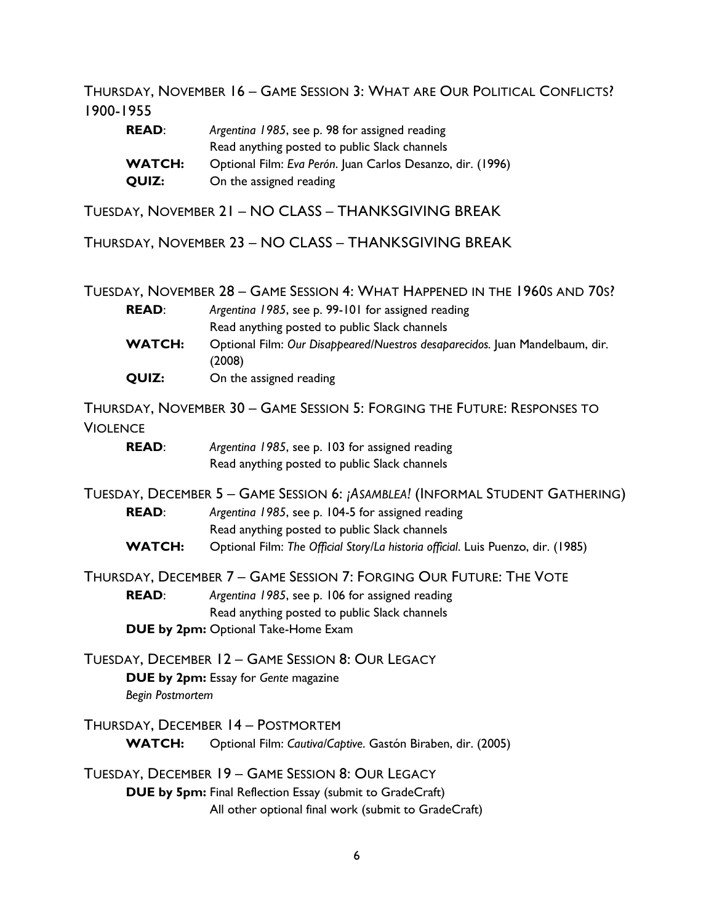THURSDAY, NOVEMBER 16 – GAME SESSION 3: WHAT ARE OUR POLITICAL CONFLICTS? 1900-1955

| <b>READ:</b>  | Argentina 1985, see p. 98 for assigned reading             |
|---------------|------------------------------------------------------------|
|               | Read anything posted to public Slack channels              |
| <b>WATCH:</b> | Optional Film: Eva Perón. Juan Carlos Desanzo, dir. (1996) |
| QUIZ:         | On the assigned reading                                    |

TUESDAY, NOVEMBER 21 – NO CLASS – THANKSGIVING BREAK

THURSDAY, NOVEMBER 23 – NO CLASS – THANKSGIVING BREAK

TUESDAY, NOVEMBER 28 – GAME SESSION 4: WHAT HAPPENED IN THE 1960S AND 70S?

| <b>READ:</b>  | Argentina 1985, see p. 99-101 for assigned reading                                     |
|---------------|----------------------------------------------------------------------------------------|
|               | Read anything posted to public Slack channels                                          |
| <b>WATCH:</b> | Optional Film: Our Disappeared/Nuestros desaparecidos. Juan Mandelbaum, dir.<br>(2008) |
| QUIZ:         | On the assigned reading                                                                |

THURSDAY, NOVEMBER 30 – GAME SESSION 5: FORGING THE FUTURE: RESPONSES TO VIOLENCE

| <b>READ:</b> | Argentina 1985, see p. 103 for assigned reading |
|--------------|-------------------------------------------------|
|              | Read anything posted to public Slack channels   |

TUESDAY, DECEMBER 5 – GAME SESSION 6: *¡ASAMBLEA!* (INFORMAL STUDENT GATHERING) **READ**: *Argentina 1985*, see p. 104-5 for assigned reading Read anything posted to public Slack channels **WATCH:** Optional Film: *The Official Story/La historia official*. Luis Puenzo, dir. (1985)

THURSDAY, DECEMBER 7 – GAME SESSION 7: FORGING OUR FUTURE: THE VOTE

**READ**: *Argentina 1985*, see p. 106 for assigned reading Read anything posted to public Slack channels **DUE by 2pm:** Optional Take-Home Exam

TUESDAY, DECEMBER 12 – GAME SESSION 8: OUR LEGACY

**DUE by 2pm:** Essay for *Gente* magazine

*Begin Postmortem*

THURSDAY, DECEMBER 14 – POSTMORTEM **WATCH:** Optional Film: *Cautiva/Captive*. Gastón Biraben, dir. (2005)

TUESDAY, DECEMBER 19 – GAME SESSION 8: OUR LEGACY **DUE by 5pm:** Final Reflection Essay (submit to GradeCraft)

All other optional final work (submit to GradeCraft)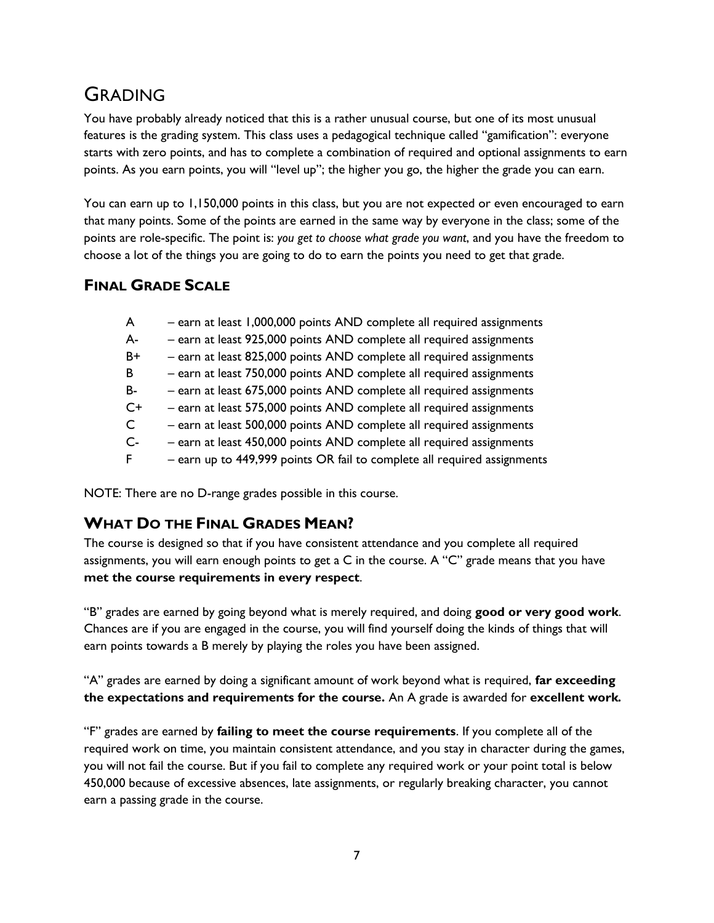# GRADING

You have probably already noticed that this is a rather unusual course, but one of its most unusual features is the grading system. This class uses a pedagogical technique called "gamification": everyone starts with zero points, and has to complete a combination of required and optional assignments to earn points. As you earn points, you will "level up"; the higher you go, the higher the grade you can earn.

You can earn up to 1,150,000 points in this class, but you are not expected or even encouraged to earn that many points. Some of the points are earned in the same way by everyone in the class; some of the points are role-specific. The point is: *you get to choose what grade you want*, and you have the freedom to choose a lot of the things you are going to do to earn the points you need to get that grade.

### **FINAL GRADE SCALE**

|  |  | - earn at least 1,000,000 points AND complete all required assignments |  |  |
|--|--|------------------------------------------------------------------------|--|--|
|--|--|------------------------------------------------------------------------|--|--|

- A- earn at least 925,000 points AND complete all required assignments
- B+ earn at least 825,000 points AND complete all required assignments
- B earn at least 750,000 points AND complete all required assignments
- B- earn at least 675,000 points AND complete all required assignments
- C+ earn at least 575,000 points AND complete all required assignments
- C earn at least 500,000 points AND complete all required assignments
- C- earn at least 450,000 points AND complete all required assignments
- F earn up to 449,999 points OR fail to complete all required assignments

NOTE: There are no D-range grades possible in this course.

### **WHAT DO THE FINAL GRADES MEAN?**

The course is designed so that if you have consistent attendance and you complete all required assignments, you will earn enough points to get a C in the course. A "C" grade means that you have **met the course requirements in every respect**.

"B" grades are earned by going beyond what is merely required, and doing **good or very good work**. Chances are if you are engaged in the course, you will find yourself doing the kinds of things that will earn points towards a B merely by playing the roles you have been assigned.

"A" grades are earned by doing a significant amount of work beyond what is required, **far exceeding the expectations and requirements for the course.** An A grade is awarded for **excellent work***.*

"F" grades are earned by **failing to meet the course requirements**. If you complete all of the required work on time, you maintain consistent attendance, and you stay in character during the games, you will not fail the course. But if you fail to complete any required work or your point total is below 450,000 because of excessive absences, late assignments, or regularly breaking character, you cannot earn a passing grade in the course.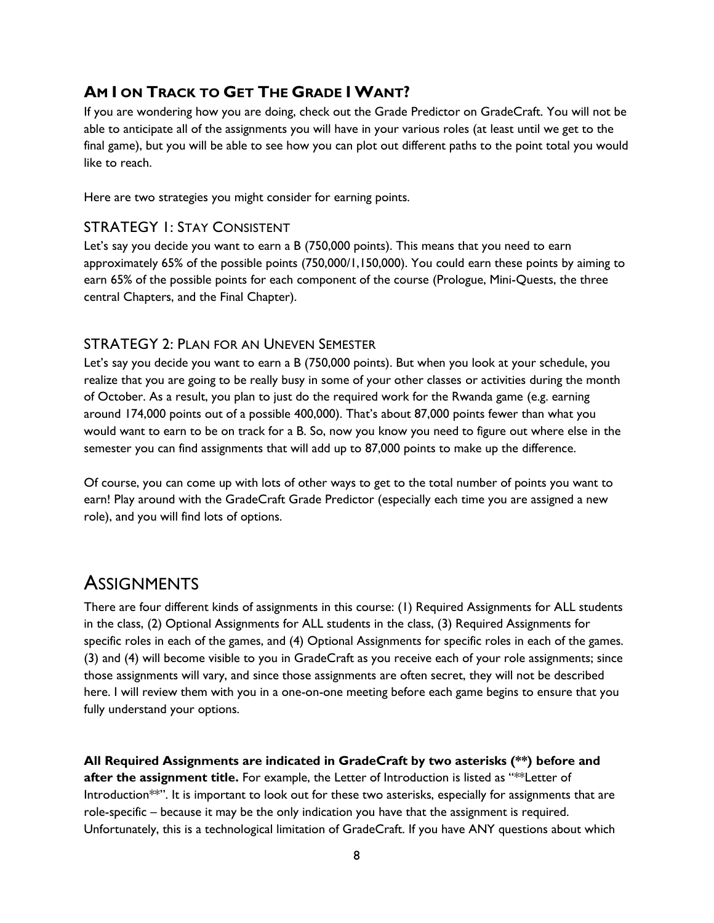### **AM I ON TRACK TO GET THE GRADE I WANT?**

If you are wondering how you are doing, check out the Grade Predictor on GradeCraft. You will not be able to anticipate all of the assignments you will have in your various roles (at least until we get to the final game), but you will be able to see how you can plot out different paths to the point total you would like to reach.

Here are two strategies you might consider for earning points.

#### STRATEGY 1: STAY CONSISTENT

Let's say you decide you want to earn a B (750,000 points). This means that you need to earn approximately 65% of the possible points (750,000/1,150,000). You could earn these points by aiming to earn 65% of the possible points for each component of the course (Prologue, Mini-Quests, the three central Chapters, and the Final Chapter).

#### STRATEGY 2: PLAN FOR AN UNEVEN SEMESTER

Let's say you decide you want to earn a B (750,000 points). But when you look at your schedule, you realize that you are going to be really busy in some of your other classes or activities during the month of October. As a result, you plan to just do the required work for the Rwanda game (e.g. earning around 174,000 points out of a possible 400,000). That's about 87,000 points fewer than what you would want to earn to be on track for a B. So, now you know you need to figure out where else in the semester you can find assignments that will add up to 87,000 points to make up the difference.

Of course, you can come up with lots of other ways to get to the total number of points you want to earn! Play around with the GradeCraft Grade Predictor (especially each time you are assigned a new role), and you will find lots of options.

## **ASSIGNMENTS**

There are four different kinds of assignments in this course: (1) Required Assignments for ALL students in the class, (2) Optional Assignments for ALL students in the class, (3) Required Assignments for specific roles in each of the games, and (4) Optional Assignments for specific roles in each of the games. (3) and (4) will become visible to you in GradeCraft as you receive each of your role assignments; since those assignments will vary, and since those assignments are often secret, they will not be described here. I will review them with you in a one-on-one meeting before each game begins to ensure that you fully understand your options.

**All Required Assignments are indicated in GradeCraft by two asterisks (\*\*) before and after the assignment title.** For example, the Letter of Introduction is listed as "\*\*Letter of Introduction\*\*". It is important to look out for these two asterisks, especially for assignments that are role-specific – because it may be the only indication you have that the assignment is required. Unfortunately, this is a technological limitation of GradeCraft. If you have ANY questions about which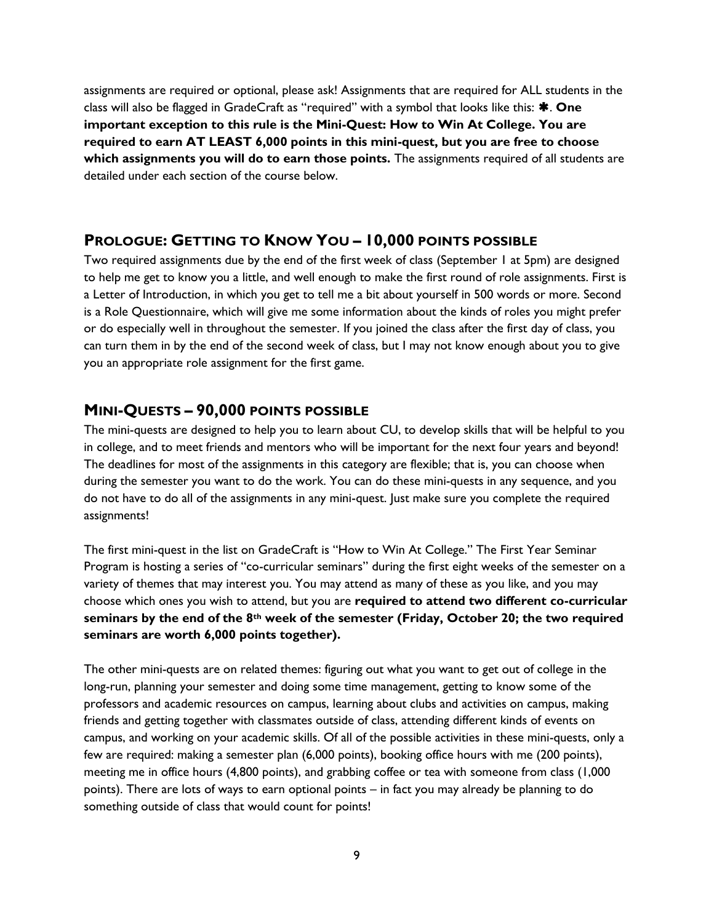assignments are required or optional, please ask! Assignments that are required for ALL students in the class will also be flagged in GradeCraft as "required" with a symbol that looks like this: **\*.** One **important exception to this rule is the Mini-Quest: How to Win At College. You are required to earn AT LEAST 6,000 points in this mini-quest, but you are free to choose which assignments you will do to earn those points.** The assignments required of all students are detailed under each section of the course below.

#### **PROLOGUE: GETTING TO KNOW YOU – 10,000 POINTS POSSIBLE**

Two required assignments due by the end of the first week of class (September 1 at 5pm) are designed to help me get to know you a little, and well enough to make the first round of role assignments. First is a Letter of Introduction, in which you get to tell me a bit about yourself in 500 words or more. Second is a Role Questionnaire, which will give me some information about the kinds of roles you might prefer or do especially well in throughout the semester. If you joined the class after the first day of class, you can turn them in by the end of the second week of class, but I may not know enough about you to give you an appropriate role assignment for the first game.

#### **MINI-QUESTS – 90,000 POINTS POSSIBLE**

The mini-quests are designed to help you to learn about CU, to develop skills that will be helpful to you in college, and to meet friends and mentors who will be important for the next four years and beyond! The deadlines for most of the assignments in this category are flexible; that is, you can choose when during the semester you want to do the work. You can do these mini-quests in any sequence, and you do not have to do all of the assignments in any mini-quest. Just make sure you complete the required assignments!

The first mini-quest in the list on GradeCraft is "How to Win At College." The First Year Seminar Program is hosting a series of "co-curricular seminars" during the first eight weeks of the semester on a variety of themes that may interest you. You may attend as many of these as you like, and you may choose which ones you wish to attend, but you are **required to attend two different co-curricular seminars by the end of the 8th week of the semester (Friday, October 20; the two required seminars are worth 6,000 points together).** 

The other mini-quests are on related themes: figuring out what you want to get out of college in the long-run, planning your semester and doing some time management, getting to know some of the professors and academic resources on campus, learning about clubs and activities on campus, making friends and getting together with classmates outside of class, attending different kinds of events on campus, and working on your academic skills. Of all of the possible activities in these mini-quests, only a few are required: making a semester plan (6,000 points), booking office hours with me (200 points), meeting me in office hours (4,800 points), and grabbing coffee or tea with someone from class (1,000 points). There are lots of ways to earn optional points – in fact you may already be planning to do something outside of class that would count for points!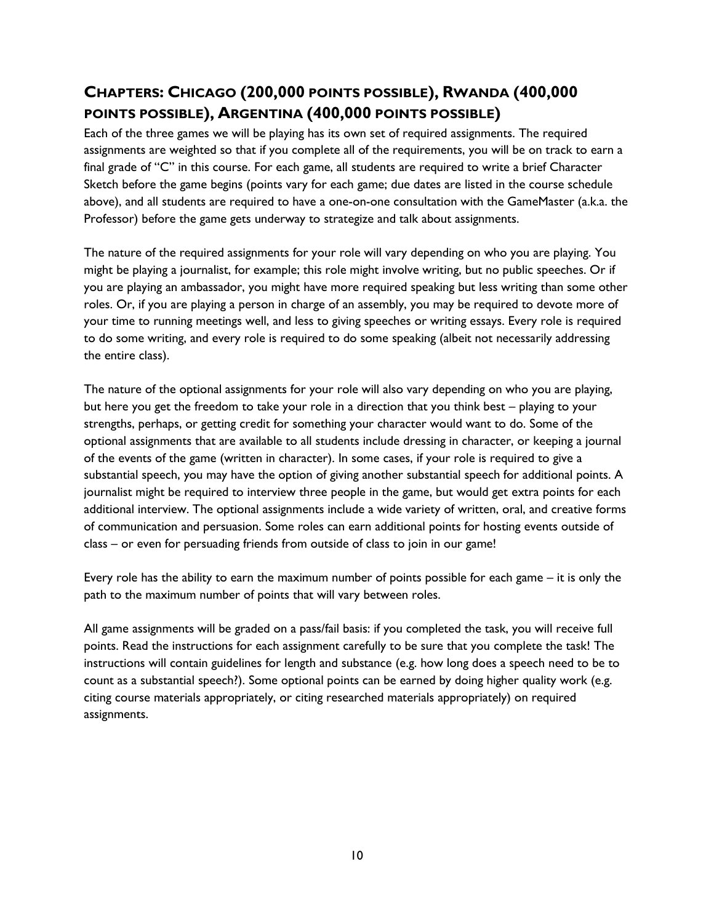## **CHAPTERS: CHICAGO (200,000 POINTS POSSIBLE), RWANDA (400,000 POINTS POSSIBLE), ARGENTINA (400,000 POINTS POSSIBLE)**

Each of the three games we will be playing has its own set of required assignments. The required assignments are weighted so that if you complete all of the requirements, you will be on track to earn a final grade of "C" in this course. For each game, all students are required to write a brief Character Sketch before the game begins (points vary for each game; due dates are listed in the course schedule above), and all students are required to have a one-on-one consultation with the GameMaster (a.k.a. the Professor) before the game gets underway to strategize and talk about assignments.

The nature of the required assignments for your role will vary depending on who you are playing. You might be playing a journalist, for example; this role might involve writing, but no public speeches. Or if you are playing an ambassador, you might have more required speaking but less writing than some other roles. Or, if you are playing a person in charge of an assembly, you may be required to devote more of your time to running meetings well, and less to giving speeches or writing essays. Every role is required to do some writing, and every role is required to do some speaking (albeit not necessarily addressing the entire class).

The nature of the optional assignments for your role will also vary depending on who you are playing, but here you get the freedom to take your role in a direction that you think best – playing to your strengths, perhaps, or getting credit for something your character would want to do. Some of the optional assignments that are available to all students include dressing in character, or keeping a journal of the events of the game (written in character). In some cases, if your role is required to give a substantial speech, you may have the option of giving another substantial speech for additional points. A journalist might be required to interview three people in the game, but would get extra points for each additional interview. The optional assignments include a wide variety of written, oral, and creative forms of communication and persuasion. Some roles can earn additional points for hosting events outside of class – or even for persuading friends from outside of class to join in our game!

Every role has the ability to earn the maximum number of points possible for each game – it is only the path to the maximum number of points that will vary between roles.

All game assignments will be graded on a pass/fail basis: if you completed the task, you will receive full points. Read the instructions for each assignment carefully to be sure that you complete the task! The instructions will contain guidelines for length and substance (e.g. how long does a speech need to be to count as a substantial speech?). Some optional points can be earned by doing higher quality work (e.g. citing course materials appropriately, or citing researched materials appropriately) on required assignments.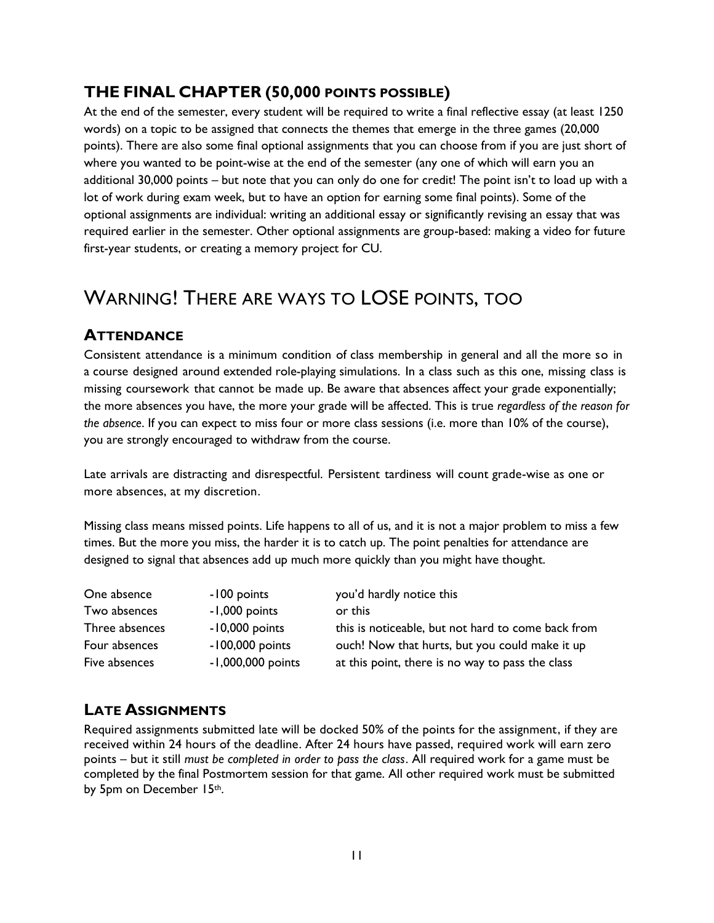### **THE FINAL CHAPTER (50,000 POINTS POSSIBLE)**

At the end of the semester, every student will be required to write a final reflective essay (at least 1250 words) on a topic to be assigned that connects the themes that emerge in the three games (20,000 points). There are also some final optional assignments that you can choose from if you are just short of where you wanted to be point-wise at the end of the semester (any one of which will earn you an additional 30,000 points – but note that you can only do one for credit! The point isn't to load up with a lot of work during exam week, but to have an option for earning some final points). Some of the optional assignments are individual: writing an additional essay or significantly revising an essay that was required earlier in the semester. Other optional assignments are group-based: making a video for future first-year students, or creating a memory project for CU.

# WARNING! THERE ARE WAYS TO LOSE POINTS, TOO

### **ATTENDANCE**

Consistent attendance is a minimum condition of class membership in general and all the more so in a course designed around extended role-playing simulations. In a class such as this one, missing class is missing coursework that cannot be made up. Be aware that absences affect your grade exponentially; the more absences you have, the more your grade will be affected. This is true *regardless of the reason for the absence*. If you can expect to miss four or more class sessions (i.e. more than 10% of the course), you are strongly encouraged to withdraw from the course.

Late arrivals are distracting and disrespectful. Persistent tardiness will count grade-wise as one or more absences, at my discretion.

Missing class means missed points. Life happens to all of us, and it is not a major problem to miss a few times. But the more you miss, the harder it is to catch up. The point penalties for attendance are designed to signal that absences add up much more quickly than you might have thought.

| One absence    | -100 points       | you'd hardly notice this                           |
|----------------|-------------------|----------------------------------------------------|
| Two absences   | -1,000 points     | or this                                            |
| Three absences | $-10,000$ points  | this is noticeable, but not hard to come back from |
| Four absences  | $-100,000$ points | ouch! Now that hurts, but you could make it up     |
| Five absences  | -1,000,000 points | at this point, there is no way to pass the class   |

### **LATE ASSIGNMENTS**

Required assignments submitted late will be docked 50% of the points for the assignment, if they are received within 24 hours of the deadline. After 24 hours have passed, required work will earn zero points – but it still *must be completed in order to pass the class*. All required work for a game must be completed by the final Postmortem session for that game. All other required work must be submitted by 5pm on December 15th.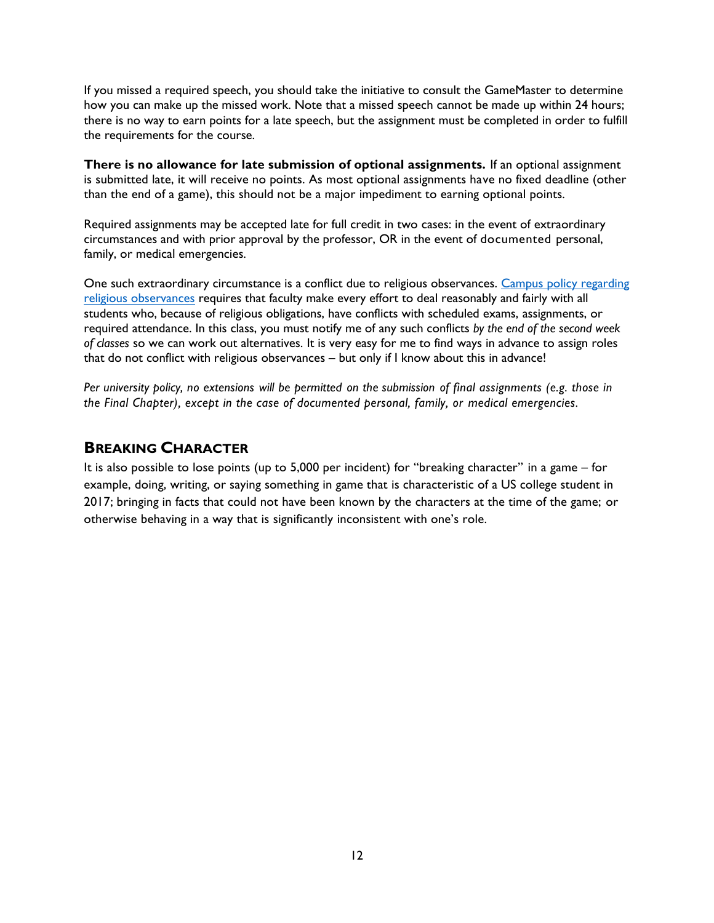If you missed a required speech, you should take the initiative to consult the GameMaster to determine how you can make up the missed work. Note that a missed speech cannot be made up within 24 hours; there is no way to earn points for a late speech, but the assignment must be completed in order to fulfill the requirements for the course.

**There is no allowance for late submission of optional assignments.** If an optional assignment is submitted late, it will receive no points. As most optional assignments have no fixed deadline (other than the end of a game), this should not be a major impediment to earning optional points.

Required assignments may be accepted late for full credit in two cases: in the event of extraordinary circumstances and with prior approval by the professor, OR in the event of documented personal, family, or medical emergencies.

One such extraordinary circumstance is a conflict due to religious observances. Campus policy regarding [religious observances](http://www.colorado.edu/policies/fac_relig.html) requires that faculty make every effort to deal reasonably and fairly with all students who, because of religious obligations, have conflicts with scheduled exams, assignments, or required attendance. In this class, you must notify me of any such conflicts *by the end of the second week of classes* so we can work out alternatives. It is very easy for me to find ways in advance to assign roles that do not conflict with religious observances – but only if I know about this in advance!

*Per university policy, no extensions will be permitted on the submission of final assignments (e.g. those in the Final Chapter), except in the case of documented personal, family, or medical emergencies.* 

#### **BREAKING CHARACTER**

It is also possible to lose points (up to 5,000 per incident) for "breaking character" in a game – for example, doing, writing, or saying something in game that is characteristic of a US college student in 2017; bringing in facts that could not have been known by the characters at the time of the game; or otherwise behaving in a way that is significantly inconsistent with one's role.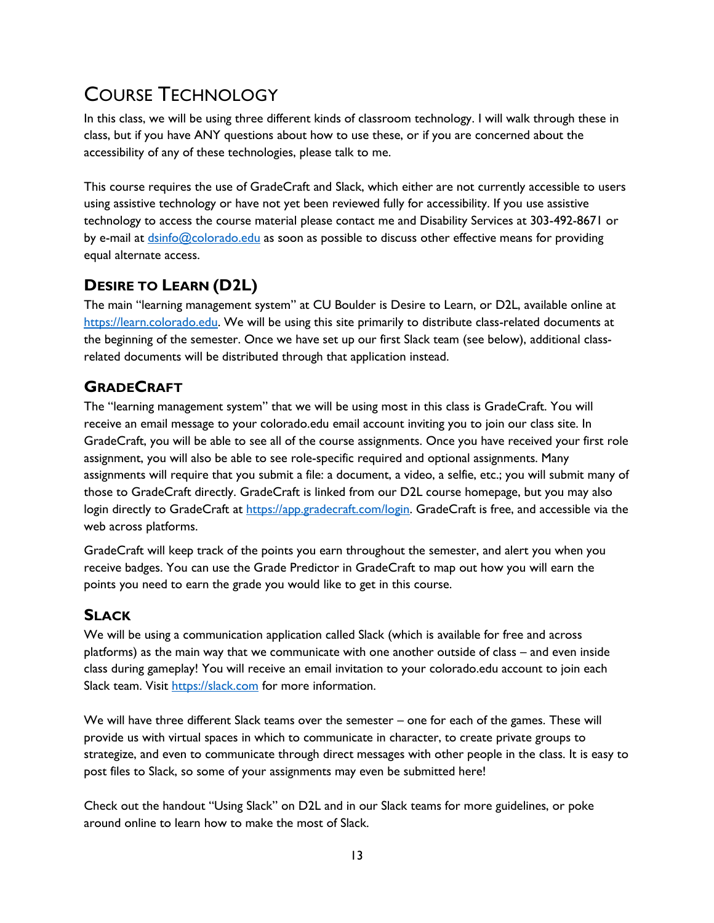# COURSE TECHNOLOGY

In this class, we will be using three different kinds of classroom technology. I will walk through these in class, but if you have ANY questions about how to use these, or if you are concerned about the accessibility of any of these technologies, please talk to me.

This course requires the use of GradeCraft and Slack, which either are not currently accessible to users using assistive technology or have not yet been reviewed fully for accessibility. If you use assistive technology to access the course material please contact me and Disability Services at 303-492-8671 or by e-mail at [dsinfo@colorado.edu](mailto:dsinfo@colorado.edu) as soon as possible to discuss other effective means for providing equal alternate access.

## **DESIRE TO LEARN (D2L)**

The main "learning management system" at CU Boulder is Desire to Learn, or D2L, available online at [https://learn.colorado.edu.](https://learn.colorado.edu/) We will be using this site primarily to distribute class-related documents at the beginning of the semester. Once we have set up our first Slack team (see below), additional classrelated documents will be distributed through that application instead.

### **GRADECRAFT**

The "learning management system" that we will be using most in this class is GradeCraft. You will receive an email message to your colorado.edu email account inviting you to join our class site. In GradeCraft, you will be able to see all of the course assignments. Once you have received your first role assignment, you will also be able to see role-specific required and optional assignments. Many assignments will require that you submit a file: a document, a video, a selfie, etc.; you will submit many of those to GradeCraft directly. GradeCraft is linked from our D2L course homepage, but you may also login directly to GradeCraft at [https://app.gradecraft.com/login.](https://app.gradecraft.com/login) GradeCraft is free, and accessible via the web across platforms.

GradeCraft will keep track of the points you earn throughout the semester, and alert you when you receive badges. You can use the Grade Predictor in GradeCraft to map out how you will earn the points you need to earn the grade you would like to get in this course.

## **SLACK**

We will be using a communication application called Slack (which is available for free and across platforms) as the main way that we communicate with one another outside of class – and even inside class during gameplay! You will receive an email invitation to your colorado.edu account to join each Slack team. Visit [https://slack.com](https://slack.com/) for more information.

We will have three different Slack teams over the semester – one for each of the games. These will provide us with virtual spaces in which to communicate in character, to create private groups to strategize, and even to communicate through direct messages with other people in the class. It is easy to post files to Slack, so some of your assignments may even be submitted here!

Check out the handout "Using Slack" on D2L and in our Slack teams for more guidelines, or poke around online to learn how to make the most of Slack.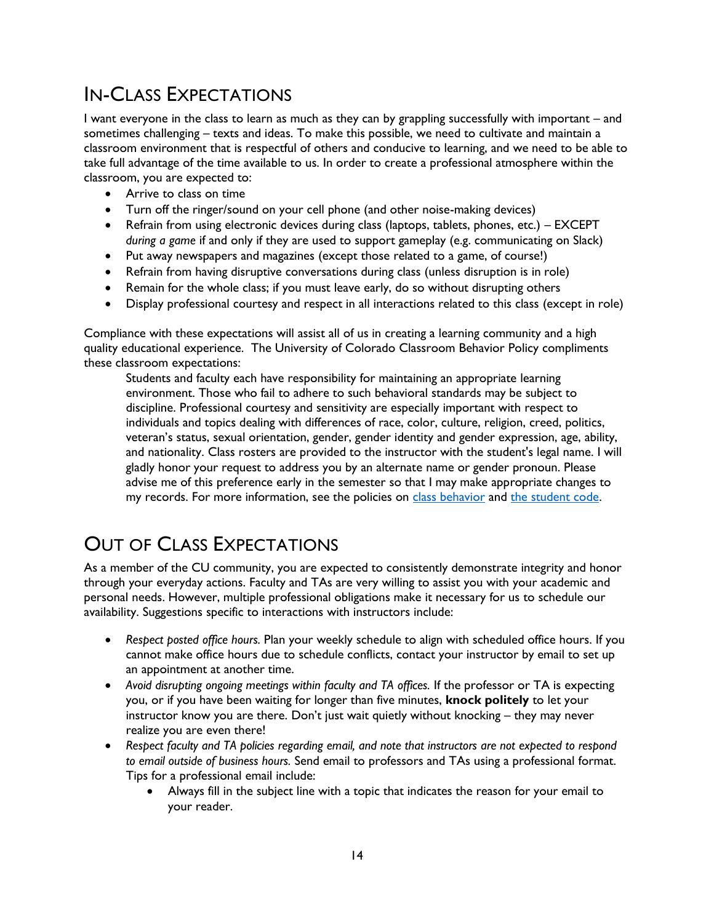# IN-CLASS EXPECTATIONS

I want everyone in the class to learn as much as they can by grappling successfully with important – and sometimes challenging – texts and ideas. To make this possible, we need to cultivate and maintain a classroom environment that is respectful of others and conducive to learning, and we need to be able to take full advantage of the time available to us. In order to create a professional atmosphere within the classroom, you are expected to:

- Arrive to class on time
- Turn off the ringer/sound on your cell phone (and other noise-making devices)
- Refrain from using electronic devices during class (laptops, tablets, phones, etc.) EXCEPT *during a game* if and only if they are used to support gameplay (e.g. communicating on Slack)
- Put away newspapers and magazines (except those related to a game, of course!)
- Refrain from having disruptive conversations during class (unless disruption is in role)
- Remain for the whole class; if you must leave early, do so without disrupting others
- Display professional courtesy and respect in all interactions related to this class (except in role)

Compliance with these expectations will assist all of us in creating a learning community and a high quality educational experience. The University of Colorado Classroom Behavior Policy compliments these classroom expectations:

Students and faculty each have responsibility for maintaining an appropriate learning environment. Those who fail to adhere to such behavioral standards may be subject to discipline. Professional courtesy and sensitivity are especially important with respect to individuals and topics dealing with differences of race, color, culture, religion, creed, politics, veteran's status, sexual orientation, gender, gender identity and gender expression, age, ability, and nationality. Class rosters are provided to the instructor with the student's legal name. I will gladly honor your request to address you by an alternate name or gender pronoun. Please advise me of this preference early in the semester so that I may make appropriate changes to my records. For more information, see the policies on [class behavior](http://www.colorado.edu/policies/student-classroom-and-course-related-behavior) and [the student code.](http://www.colorado.edu/studentaffairs/judicialaffairs/code.html#student_code)

# OUT OF CLASS EXPECTATIONS

As a member of the CU community, you are expected to consistently demonstrate integrity and honor through your everyday actions. Faculty and TAs are very willing to assist you with your academic and personal needs. However, multiple professional obligations make it necessary for us to schedule our availability. Suggestions specific to interactions with instructors include:

- *Respect posted office hours.* Plan your weekly schedule to align with scheduled office hours. If you cannot make office hours due to schedule conflicts, contact your instructor by email to set up an appointment at another time.
- *Avoid disrupting ongoing meetings within faculty and TA offices.* If the professor or TA is expecting you, or if you have been waiting for longer than five minutes, **knock politely** to let your instructor know you are there. Don't just wait quietly without knocking – they may never realize you are even there!
- *Respect faculty and TA policies regarding email, and note that instructors are not expected to respond to email outside of business hours.* Send email to professors and TAs using a professional format. Tips for a professional email include:
	- Always fill in the subject line with a topic that indicates the reason for your email to your reader.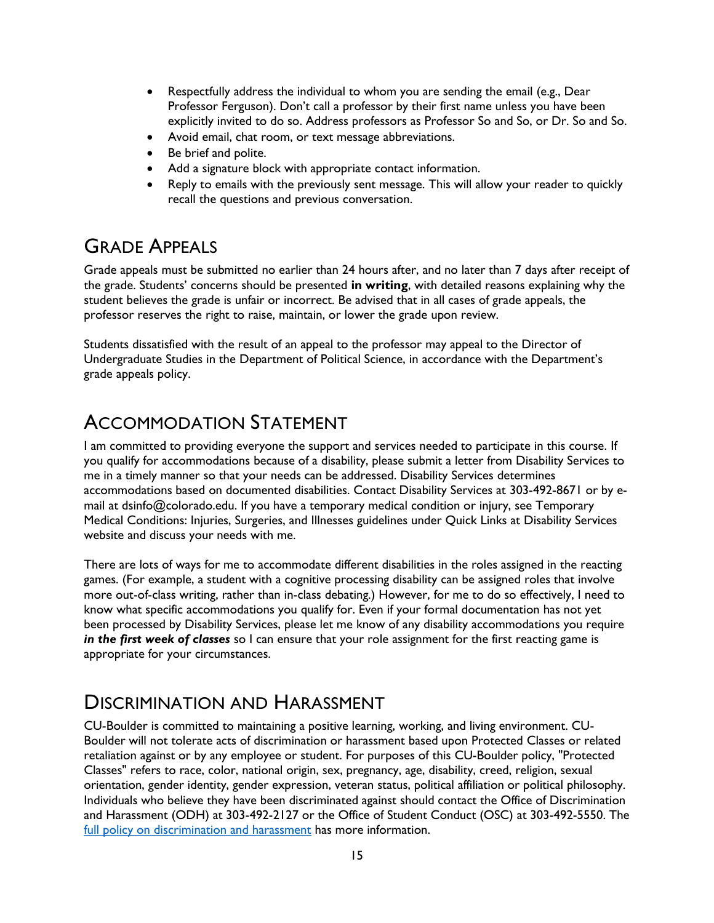- Respectfully address the individual to whom you are sending the email (e.g., Dear Professor Ferguson). Don't call a professor by their first name unless you have been explicitly invited to do so. Address professors as Professor So and So, or Dr. So and So.
- Avoid email, chat room, or text message abbreviations.
- Be brief and polite.
- Add a signature block with appropriate contact information.
- Reply to emails with the previously sent message. This will allow your reader to quickly recall the questions and previous conversation.

# GRADE APPEALS

Grade appeals must be submitted no earlier than 24 hours after, and no later than 7 days after receipt of the grade. Students' concerns should be presented **in writing**, with detailed reasons explaining why the student believes the grade is unfair or incorrect. Be advised that in all cases of grade appeals, the professor reserves the right to raise, maintain, or lower the grade upon review.

Students dissatisfied with the result of an appeal to the professor may appeal to the Director of Undergraduate Studies in the Department of Political Science, in accordance with the Department's grade appeals policy.

# ACCOMMODATION STATEMENT

I am committed to providing everyone the support and services needed to participate in this course. If you qualify for accommodations because of a disability, please submit a letter from Disability Services to me in a timely manner so that your needs can be addressed. Disability Services determines accommodations based on documented disabilities. Contact Disability Services at 303-492-8671 or by email at dsinfo@colorado.edu. If you have a temporary medical condition or injury, see Temporary Medical Conditions: Injuries, Surgeries, and Illnesses guidelines under Quick Links at Disability Services website and discuss your needs with me.

There are lots of ways for me to accommodate different disabilities in the roles assigned in the reacting games. (For example, a student with a cognitive processing disability can be assigned roles that involve more out-of-class writing, rather than in-class debating.) However, for me to do so effectively, I need to know what specific accommodations you qualify for. Even if your formal documentation has not yet been processed by Disability Services, please let me know of any disability accommodations you require *in the first week of classes* so I can ensure that your role assignment for the first reacting game is appropriate for your circumstances.

# DISCRIMINATION AND HARASSMENT

CU-Boulder is committed to maintaining a positive learning, working, and living environment. CU-Boulder will not tolerate acts of discrimination or harassment based upon Protected Classes or related retaliation against or by any employee or student. For purposes of this CU-Boulder policy, "Protected Classes" refers to race, color, national origin, sex, pregnancy, age, disability, creed, religion, sexual orientation, gender identity, gender expression, veteran status, political affiliation or political philosophy. Individuals who believe they have been discriminated against should contact the Office of Discrimination and Harassment (ODH) at 303-492-2127 or the Office of Student Conduct (OSC) at 303-492-5550. The [full policy on discrimination and harassment](http://www.colorado.edu/policies/discrimination-and-harassment-policy-and-procedures) has more information.